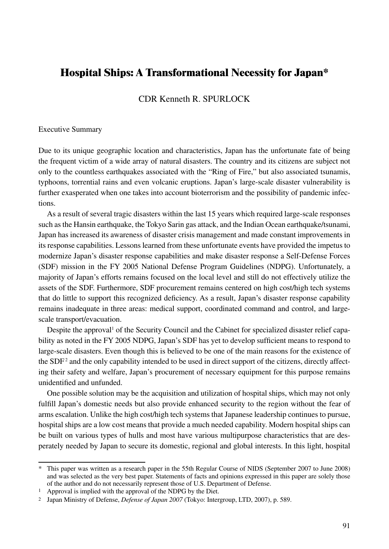# **Hospital Ships: A Transformational Necessity for Japan\***

CDR Kenneth R. SPURLOCK

#### Executive Summary

Due to its unique geographic location and characteristics, Japan has the unfortunate fate of being the frequent victim of a wide array of natural disasters. The country and its citizens are subject not only to the countless earthquakes associated with the "Ring of Fire," but also associated tsunamis, typhoons, torrential rains and even volcanic eruptions. Japan's large-scale disaster vulnerability is further exasperated when one takes into account bioterrorism and the possibility of pandemic infections.

As a result of several tragic disasters within the last 15 years which required large-scale responses such as the Hansin earthquake, the Tokyo Sarin gas attack, and the Indian Ocean earthquake/tsunami, Japan has increased its awareness of disaster crisis management and made constant improvements in its response capabilities. Lessons learned from these unfortunate events have provided the impetus to modernize Japan's disaster response capabilities and make disaster response a Self-Defense Forces (SDF) mission in the FY 2005 National Defense Program Guidelines (NDPG). Unfortunately, a majority of Japan's efforts remains focused on the local level and still do not effectively utilize the assets of the SDF. Furthermore, SDF procurement remains centered on high cost/high tech systems that do little to support this recognized deficiency. As a result, Japan's disaster response capability remains inadequate in three areas: medical support, coordinated command and control, and largescale transport/evacuation.

Despite the approval<sup>1</sup> of the Security Council and the Cabinet for specialized disaster relief capability as noted in the FY 2005 NDPG, Japan's SDF has yet to develop sufficient means to respond to large-scale disasters. Even though this is believed to be one of the main reasons for the existence of the  $SDF<sup>2</sup>$  and the only capability intended to be used in direct support of the citizens, directly affecting their safety and welfare, Japan's procurement of necessary equipment for this purpose remains unidentified and unfunded.

One possible solution may be the acquisition and utilization of hospital ships, which may not only fulfill Japan's domestic needs but also provide enhanced security to the region without the fear of arms escalation. Unlike the high cost/high tech systems that Japanese leadership continues to pursue, hospital ships are a low cost means that provide a much needed capability. Modern hospital ships can be built on various types of hulls and most have various multipurpose characteristics that are desperately needed by Japan to secure its domestic, regional and global interests. In this light, hospital

<sup>\*</sup> This paper was written as a research paper in the 55th Regular Course of NIDS (September 2007 to June 2008) and was selected as the very best paper. Statements of facts and opinions expressed in this paper are solely those of the author and do not necessarily represent those of U.S. Department of Defense.

<sup>1</sup> Approval is implied with the approval of the NDPG by the Diet.

<sup>2</sup> Japan Ministry of Defense, *Defense of Japan 2007* (Tokyo: Intergroup, LTD, 2007), p. 589.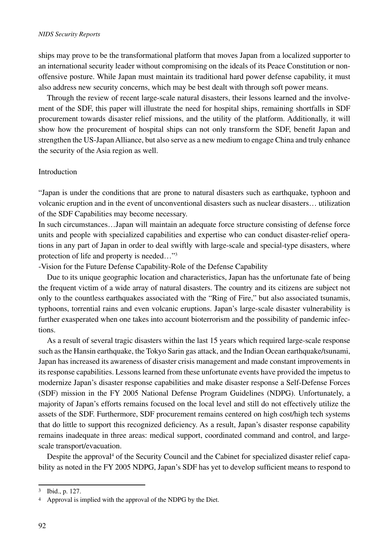ships may prove to be the transformational platform that moves Japan from a localized supporter to an international security leader without compromising on the ideals of its Peace Constitution or nonoffensive posture. While Japan must maintain its traditional hard power defense capability, it must also address new security concerns, which may be best dealt with through soft power means.

Through the review of recent large-scale natural disasters, their lessons learned and the involvement of the SDF, this paper will illustrate the need for hospital ships, remaining shortfalls in SDF procurement towards disaster relief missions, and the utility of the platform. Additionally, it will show how the procurement of hospital ships can not only transform the SDF, benefit Japan and strengthen the US-Japan Alliance, but also serve as a new medium to engage China and truly enhance the security of the Asia region as well.

#### Introduction

"Japan is under the conditions that are prone to natural disasters such as earthquake, typhoon and volcanic eruption and in the event of unconventional disasters such as nuclear disasters… utilization of the SDF Capabilities may become necessary.

In such circumstances…Japan will maintain an adequate force structure consisting of defense force units and people with specialized capabilities and expertise who can conduct disaster-relief operations in any part of Japan in order to deal swiftly with large-scale and special-type disasters, where protection of life and property is needed…"3

-Vision for the Future Defense Capability-Role of the Defense Capability

Due to its unique geographic location and characteristics, Japan has the unfortunate fate of being the frequent victim of a wide array of natural disasters. The country and its citizens are subject not only to the countless earthquakes associated with the "Ring of Fire," but also associated tsunamis, typhoons, torrential rains and even volcanic eruptions. Japan's large-scale disaster vulnerability is further exasperated when one takes into account bioterrorism and the possibility of pandemic infections.

As a result of several tragic disasters within the last 15 years which required large-scale response such as the Hansin earthquake, the Tokyo Sarin gas attack, and the Indian Ocean earthquake/tsunami, Japan has increased its awareness of disaster crisis management and made constant improvements in its response capabilities. Lessons learned from these unfortunate events have provided the impetus to modernize Japan's disaster response capabilities and make disaster response a Self-Defense Forces (SDF) mission in the FY 2005 National Defense Program Guidelines (NDPG). Unfortunately, a majority of Japan's efforts remains focused on the local level and still do not effectively utilize the assets of the SDF. Furthermore, SDF procurement remains centered on high cost/high tech systems that do little to support this recognized deficiency. As a result, Japan's disaster response capability remains inadequate in three areas: medical support, coordinated command and control, and largescale transport/evacuation.

Despite the approval<sup>4</sup> of the Security Council and the Cabinet for specialized disaster relief capability as noted in the FY 2005 NDPG, Japan's SDF has yet to develop sufficient means to respond to

<sup>3</sup> Ibid., p. 127.

<sup>4</sup> Approval is implied with the approval of the NDPG by the Diet.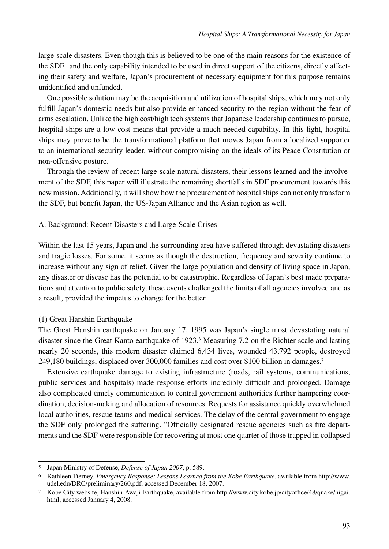large-scale disasters. Even though this is believed to be one of the main reasons for the existence of the SDF<sup>5</sup> and the only capability intended to be used in direct support of the citizens, directly affecting their safety and welfare, Japan's procurement of necessary equipment for this purpose remains unidentified and unfunded.

One possible solution may be the acquisition and utilization of hospital ships, which may not only fulfill Japan's domestic needs but also provide enhanced security to the region without the fear of arms escalation. Unlike the high cost/high tech systems that Japanese leadership continues to pursue, hospital ships are a low cost means that provide a much needed capability. In this light, hospital ships may prove to be the transformational platform that moves Japan from a localized supporter to an international security leader, without compromising on the ideals of its Peace Constitution or non-offensive posture.

Through the review of recent large-scale natural disasters, their lessons learned and the involvement of the SDF, this paper will illustrate the remaining shortfalls in SDF procurement towards this new mission. Additionally, it will show how the procurement of hospital ships can not only transform the SDF, but benefit Japan, the US-Japan Alliance and the Asian region as well.

#### A. Background: Recent Disasters and Large-Scale Crises

Within the last 15 years, Japan and the surrounding area have suffered through devastating disasters and tragic losses. For some, it seems as though the destruction, frequency and severity continue to increase without any sign of relief. Given the large population and density of living space in Japan, any disaster or disease has the potential to be catastrophic. Regardless of Japan's best made preparations and attention to public safety, these events challenged the limits of all agencies involved and as a result, provided the impetus to change for the better.

#### (1) Great Hanshin Earthquake

The Great Hanshin earthquake on January 17, 1995 was Japan's single most devastating natural disaster since the Great Kanto earthquake of 1923.<sup>6</sup> Measuring 7.2 on the Richter scale and lasting nearly 20 seconds, this modern disaster claimed 6,434 lives, wounded 43,792 people, destroyed 249,180 buildings, displaced over 300,000 families and cost over \$100 billion in damages.7

Extensive earthquake damage to existing infrastructure (roads, rail systems, communications, public services and hospitals) made response efforts incredibly difficult and prolonged. Damage also complicated timely communication to central government authorities further hampering coordination, decision-making and allocation of resources. Requests for assistance quickly overwhelmed local authorities, rescue teams and medical services. The delay of the central government to engage the SDF only prolonged the suffering. "Officially designated rescue agencies such as fire departments and the SDF were responsible for recovering at most one quarter of those trapped in collapsed

<sup>5</sup> Japan Ministry of Defense, *Defense of Japan 2007*, p. 589.

<sup>6</sup> Kathleen Tierney, *Emergency Response: Lessons Learned from the Kobe Earthquake*, available from http://www. udel.edu/DRC/preliminary/260.pdf, accessed December 18, 2007.

<sup>7</sup> Kobe City website, Hanshin-Awaji Earthquake, available from http://www.city.kobe.jp/cityoffice/48/quake/higai. html, accessed January 4, 2008.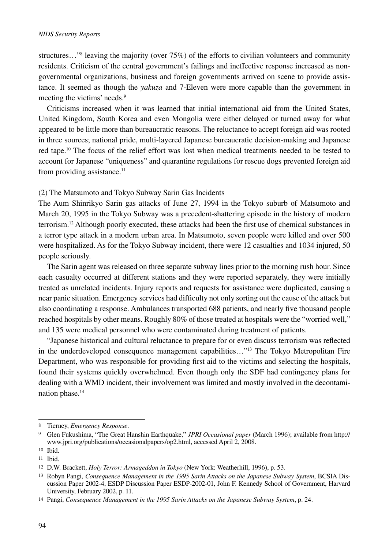structures..."<sup>8</sup> leaving the majority (over 75%) of the efforts to civilian volunteers and community residents. Criticism of the central government's failings and ineffective response increased as nongovernmental organizations, business and foreign governments arrived on scene to provide assistance. It seemed as though the *yakuza* and 7-Eleven were more capable than the government in meeting the victims' needs.<sup>9</sup>

Criticisms increased when it was learned that initial international aid from the United States, United Kingdom, South Korea and even Mongolia were either delayed or turned away for what appeared to be little more than bureaucratic reasons. The reluctance to accept foreign aid was rooted in three sources; national pride, multi-layered Japanese bureaucratic decision-making and Japanese red tape.10 The focus of the relief effort was lost when medical treatments needed to be tested to account for Japanese "uniqueness" and quarantine regulations for rescue dogs prevented foreign aid from providing assistance.<sup>11</sup>

## (2) The Matsumoto and Tokyo Subway Sarin Gas Incidents

The Aum Shinrikyo Sarin gas attacks of June 27, 1994 in the Tokyo suburb of Matsumoto and March 20, 1995 in the Tokyo Subway was a precedent-shattering episode in the history of modern terrorism.12 Although poorly executed, these attacks had been the first use of chemical substances in a terror type attack in a modern urban area. In Matsumoto, seven people were killed and over 500 were hospitalized. As for the Tokyo Subway incident, there were 12 casualties and 1034 injured, 50 people seriously.

The Sarin agent was released on three separate subway lines prior to the morning rush hour. Since each casualty occurred at different stations and they were reported separately, they were initially treated as unrelated incidents. Injury reports and requests for assistance were duplicated, causing a near panic situation. Emergency services had difficulty not only sorting out the cause of the attack but also coordinating a response. Ambulances transported 688 patients, and nearly five thousand people reached hospitals by other means. Roughly 80% of those treated at hospitals were the "worried well," and 135 were medical personnel who were contaminated during treatment of patients.

"Japanese historical and cultural reluctance to prepare for or even discuss terrorism was reflected in the underdeveloped consequence management capabilities…"13 The Tokyo Metropolitan Fire Department, who was responsible for providing first aid to the victims and selecting the hospitals, found their systems quickly overwhelmed. Even though only the SDF had contingency plans for dealing with a WMD incident, their involvement was limited and mostly involved in the decontamination phase.<sup>14</sup>

<sup>8</sup> Tierney, *Emergency Response*.

<sup>9</sup> Glen Fukushima, "The Great Hanshin Earthquake," *JPRI Occasional paper* (March 1996); available from http:// www.jpri.org/publications/occasionalpapers/op2.html, accessed April 2, 2008.

<sup>10</sup> Ibid.

<sup>11</sup> Ibid.

<sup>12</sup> D.W. Brackett, *Holy Terror: Armageddon in Tokyo* (New York: Weatherhill, 1996), p. 53.

<sup>13</sup> Robyn Pangi, *Consequence Management in the 1995 Sarin Attacks on the Japanese Subway System*, BCSIA Discussion Paper 2002-4, ESDP Discussion Paper ESDP-2002-01, John F. Kennedy School of Government, Harvard University, February 2002, p. 11.

<sup>14</sup> Pangi, *Consequence Management in the 1995 Sarin Attacks on the Japanese Subway System*, p. 24.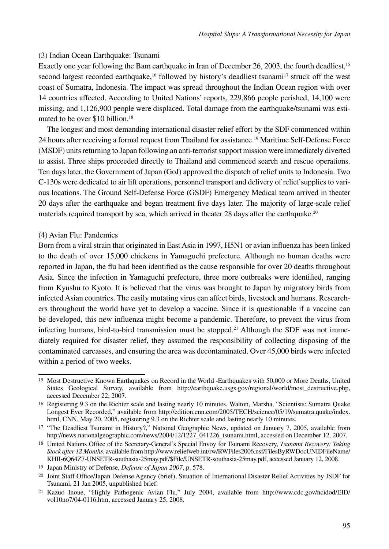## (3) Indian Ocean Earthquake: Tsunami

Exactly one year following the Bam earthquake in Iran of December 26, 2003, the fourth deadliest,<sup>15</sup> second largest recorded earthquake,<sup>16</sup> followed by history's deadliest tsunami<sup>17</sup> struck off the west coast of Sumatra, Indonesia. The impact was spread throughout the Indian Ocean region with over 14 countries affected. According to United Nations' reports, 229,866 people perished, 14,100 were missing, and 1,126,900 people were displaced. Total damage from the earthquake/tsunami was estimated to be over \$10 billion.<sup>18</sup>

The longest and most demanding international disaster relief effort by the SDF commenced within 24 hours after receiving a formal request from Thailand for assistance.<sup>19</sup> Maritime Self-Defense Force (MSDF) units returning to Japan following an anti-terrorist support mission were immediately diverted to assist. Three ships proceeded directly to Thailand and commenced search and rescue operations. Ten days later, the Government of Japan (GoJ) approved the dispatch of relief units to Indonesia. Two C-130s were dedicated to air lift operations, personnel transport and delivery of relief supplies to various locations. The Ground Self-Defense Force (GSDF) Emergency Medical team arrived in theater 20 days after the earthquake and began treatment five days later. The majority of large-scale relief materials required transport by sea, which arrived in theater 28 days after the earthquake.<sup>20</sup>

## (4) Avian Flu: Pandemics

Born from a viral strain that originated in East Asia in 1997, H5N1 or avian influenza has been linked to the death of over 15,000 chickens in Yamaguchi prefecture. Although no human deaths were reported in Japan, the flu had been identified as the cause responsible for over 20 deaths throughout Asia. Since the infection in Yamaguchi prefecture, three more outbreaks were identified, ranging from Kyushu to Kyoto. It is believed that the virus was brought to Japan by migratory birds from infected Asian countries. The easily mutating virus can affect birds, livestock and humans. Researchers throughout the world have yet to develop a vaccine. Since it is questionable if a vaccine can be developed, this new influenza might become a pandemic. Therefore, to prevent the virus from infecting humans, bird-to-bird transmission must be stopped.<sup>21</sup> Although the SDF was not immediately required for disaster relief, they assumed the responsibility of collecting disposing of the contaminated carcasses, and ensuring the area was decontaminated. Over 45,000 birds were infected within a period of two weeks.

<sup>15</sup> Most Destructive Known Earthquakes on Record in the World -Earthquakes with 50,000 or More Deaths, United States Geological Survey, available from http://earthquake.usgs.gov/regional/world/most\_destructive.php, accessed December 22, 2007.

<sup>16</sup> Registering 9.3 on the Richter scale and lasting nearly 10 minutes, Walton, Marsha, "Scientists: Sumatra Quake Longest Ever Recorded," available from http://edition.cnn.com/2005/TECH/science/05/19/sumatra.quake/index. html, CNN. May 20, 2005, registering 9.3 on the Richter scale and lasting nearly 10 minutes.

<sup>17</sup> "The Deadliest Tsunami in History?," National Geographic News, updated on January 7, 2005, available from http://news.nationalgeographic.com/news/2004/12/1227\_041226\_tsunami.html, accessed on December 12, 2007.

<sup>18</sup> United Nations Office of the Secretary-General's Special Envoy for Tsunami Recovery, *Tsunami Recovery: Taking Stock after 12 Months*, available from http://www.reliefweb.int/rw/RWFiles2006.nsf/FilesByRWDocUNIDFileName/ KHII-6Q64Z7-UNSETR-southasia-25may.pdf/\$File/UNSETR-southasia-25may.pdf, accessed January 12, 2008.

<sup>19</sup> Japan Ministry of Defense, *Defense of Japan 2007*, p. 578.

<sup>20</sup> Joint Staff Office/Japan Defense Agency (brief), Situation of International Disaster Relief Activities by JSDF for Tsunami, 21 Jan 2005, unpublished brief.

<sup>21</sup> Kazuo Inoue, "Highly Pathogenic Avian Flu," July 2004, available from http://www.cdc.gov/ncidod/EID/ vol10no7/04-0116.htm, accessed January 25, 2008.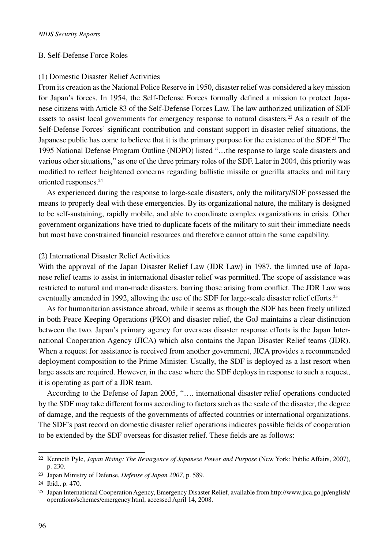## B. Self-Defense Force Roles

#### (1) Domestic Disaster Relief Activities

From its creation as the National Police Reserve in 1950, disaster relief was considered a key mission for Japan's forces. In 1954, the Self-Defense Forces formally defined a mission to protect Japanese citizens with Article 83 of the Self-Defense Forces Law. The law authorized utilization of SDF assets to assist local governments for emergency response to natural disasters.22 As a result of the Self-Defense Forces' significant contribution and constant support in disaster relief situations, the Japanese public has come to believe that it is the primary purpose for the existence of the SDF.<sup>23</sup> The 1995 National Defense Program Outline (NDPO) listed "…the response to large scale disasters and various other situations," as one of the three primary roles of the SDF. Later in 2004, this priority was modified to reflect heightened concerns regarding ballistic missile or guerilla attacks and military oriented responses.24

As experienced during the response to large-scale disasters, only the military/SDF possessed the means to properly deal with these emergencies. By its organizational nature, the military is designed to be self-sustaining, rapidly mobile, and able to coordinate complex organizations in crisis. Other government organizations have tried to duplicate facets of the military to suit their immediate needs but most have constrained financial resources and therefore cannot attain the same capability.

## (2) International Disaster Relief Activities

With the approval of the Japan Disaster Relief Law (JDR Law) in 1987, the limited use of Japanese relief teams to assist in international disaster relief was permitted. The scope of assistance was restricted to natural and man-made disasters, barring those arising from conflict. The JDR Law was eventually amended in 1992, allowing the use of the SDF for large-scale disaster relief efforts.<sup>25</sup>

As for humanitarian assistance abroad, while it seems as though the SDF has been freely utilized in both Peace Keeping Operations (PKO) and disaster relief, the GoJ maintains a clear distinction between the two. Japan's primary agency for overseas disaster response efforts is the Japan International Cooperation Agency (JICA) which also contains the Japan Disaster Relief teams (JDR). When a request for assistance is received from another government, JICA provides a recommended deployment composition to the Prime Minister. Usually, the SDF is deployed as a last resort when large assets are required. However, in the case where the SDF deploys in response to such a request, it is operating as part of a JDR team.

According to the Defense of Japan 2005, "…. international disaster relief operations conducted by the SDF may take different forms according to factors such as the scale of the disaster, the degree of damage, and the requests of the governments of affected countries or international organizations. The SDF's past record on domestic disaster relief operations indicates possible fields of cooperation to be extended by the SDF overseas for disaster relief. These fields are as follows:

<sup>22</sup> Kenneth Pyle, *Japan Rising: The Resurgence of Japanese Power and Purpose* (New York: Public Affairs, 2007), p. 230.

<sup>23</sup> Japan Ministry of Defense, *Defense of Japan 2007*, p. 589.

<sup>24</sup> Ibid., p. 470.

<sup>25</sup> Japan International Cooperation Agency, Emergency Disaster Relief, available from http://www.jica.go.jp/english/ operations/schemes/emergency.html, accessed April 14, 2008.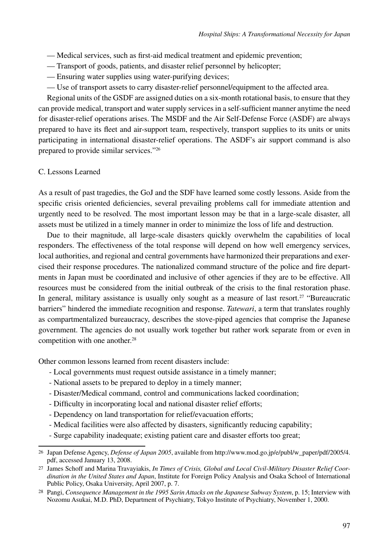- Medical services, such as first-aid medical treatment and epidemic prevention;
- Transport of goods, patients, and disaster relief personnel by helicopter;
- Ensuring water supplies using water-purifying devices;
- Use of transport assets to carry disaster-relief personnel/equipment to the affected area.

Regional units of the GSDF are assigned duties on a six-month rotational basis, to ensure that they can provide medical, transport and water supply services in a self-sufficient manner anytime the need for disaster-relief operations arises. The MSDF and the Air Self-Defense Force (ASDF) are always prepared to have its fleet and air-support team, respectively, transport supplies to its units or units participating in international disaster-relief operations. The ASDF's air support command is also prepared to provide similar services."26

## C. Lessons Learned

As a result of past tragedies, the GoJ and the SDF have learned some costly lessons. Aside from the specific crisis oriented deficiencies, several prevailing problems call for immediate attention and urgently need to be resolved. The most important lesson may be that in a large-scale disaster, all assets must be utilized in a timely manner in order to minimize the loss of life and destruction.

Due to their magnitude, all large-scale disasters quickly overwhelm the capabilities of local responders. The effectiveness of the total response will depend on how well emergency services, local authorities, and regional and central governments have harmonized their preparations and exercised their response procedures. The nationalized command structure of the police and fire departments in Japan must be coordinated and inclusive of other agencies if they are to be effective. All resources must be considered from the initial outbreak of the crisis to the final restoration phase. In general, military assistance is usually only sought as a measure of last resort.<sup>27</sup> "Bureaucratic" barriers" hindered the immediate recognition and response. *Tatewari*, a term that translates roughly as compartmentalized bureaucracy, describes the stove-piped agencies that comprise the Japanese government. The agencies do not usually work together but rather work separate from or even in competition with one another.<sup>28</sup>

Other common lessons learned from recent disasters include:

- Local governments must request outside assistance in a timely manner;
- National assets to be prepared to deploy in a timely manner;
- Disaster/Medical command, control and communications lacked coordination;
- Difficulty in incorporating local and national disaster relief efforts;
- Dependency on land transportation for relief/evacuation efforts;
- Medical facilities were also affected by disasters, significantly reducing capability;
- Surge capability inadequate; existing patient care and disaster efforts too great;

<sup>26</sup> Japan Defense Agency, *Defense of Japan 2005*, available from http://www.mod.go.jp/e/publ/w\_paper/pdf/2005/4. pdf, accessed January 13, 2008.

<sup>27</sup> James Schoff and Marina Travayiakis, *In Times of Crisis, Global and Local Civil-Military Disaster Relief Coordination in the United States and Japan*, Institute for Foreign Policy Analysis and Osaka School of International Public Policy, Osaka University, April 2007, p. 7.

<sup>28</sup> Pangi, *Consequence Management in the 1995 Sarin Attacks on the Japanese Subway System*, p. 15; Interview with Nozomu Asukai, M.D. PhD, Department of Psychiatry, Tokyo Institute of Psychiatry, November 1, 2000.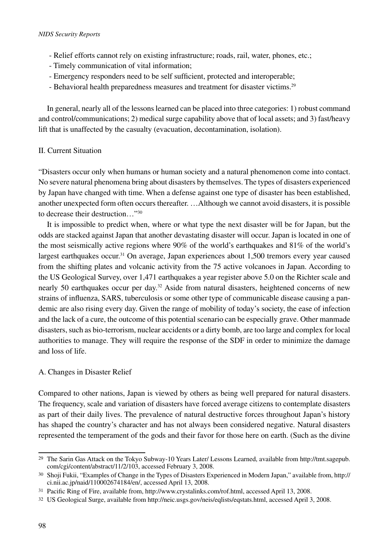- Relief efforts cannot rely on existing infrastructure; roads, rail, water, phones, etc.;
- Timely communication of vital information;
- Emergency responders need to be self sufficient, protected and interoperable;
- Behavioral health preparedness measures and treatment for disaster victims.<sup>29</sup>

In general, nearly all of the lessons learned can be placed into three categories: 1) robust command and control/communications; 2) medical surge capability above that of local assets; and 3) fast/heavy lift that is unaffected by the casualty (evacuation, decontamination, isolation).

## II. Current Situation

"Disasters occur only when humans or human society and a natural phenomenon come into contact. No severe natural phenomena bring about disasters by themselves. The types of disasters experienced by Japan have changed with time. When a defense against one type of disaster has been established, another unexpected form often occurs thereafter. …Although we cannot avoid disasters, it is possible to decrease their destruction…"30

It is impossible to predict when, where or what type the next disaster will be for Japan, but the odds are stacked against Japan that another devastating disaster will occur. Japan is located in one of the most seismically active regions where 90% of the world's earthquakes and 81% of the world's largest earthquakes occur.<sup>31</sup> On average, Japan experiences about 1,500 tremors every year caused from the shifting plates and volcanic activity from the 75 active volcanoes in Japan. According to the US Geological Survey, over 1,471 earthquakes a year register above 5.0 on the Richter scale and nearly 50 earthquakes occur per day.32 Aside from natural disasters, heightened concerns of new strains of influenza, SARS, tuberculosis or some other type of communicable disease causing a pandemic are also rising every day. Given the range of mobility of today's society, the ease of infection and the lack of a cure, the outcome of this potential scenario can be especially grave. Other manmade disasters, such as bio-terrorism, nuclear accidents or a dirty bomb, are too large and complex for local authorities to manage. They will require the response of the SDF in order to minimize the damage and loss of life.

## A. Changes in Disaster Relief

Compared to other nations, Japan is viewed by others as being well prepared for natural disasters. The frequency, scale and variation of disasters have forced average citizens to contemplate disasters as part of their daily lives. The prevalence of natural destructive forces throughout Japan's history has shaped the country's character and has not always been considered negative. Natural disasters represented the temperament of the gods and their favor for those here on earth. (Such as the divine

<sup>29</sup> The Sarin Gas Attack on the Tokyo Subway-10 Years Later/ Lessons Learned, available from http://tmt.sagepub. com/cgi/content/abstract/11/2/103, accessed February 3, 2008.

<sup>30</sup> Shoji Fukii, "Examples of Change in the Types of Disasters Experienced in Modern Japan," available from, http:// ci.nii.ac.jp/naid/110002674184/en/, accessed April 13, 2008.

<sup>31</sup> Pacific Ring of Fire, available from, http://www.crystalinks.com/rof.html, accessed April 13, 2008.

<sup>32</sup> US Geological Surge, available from http://neic.usgs.gov/neis/eqlists/eqstats.html, accessed April 3, 2008.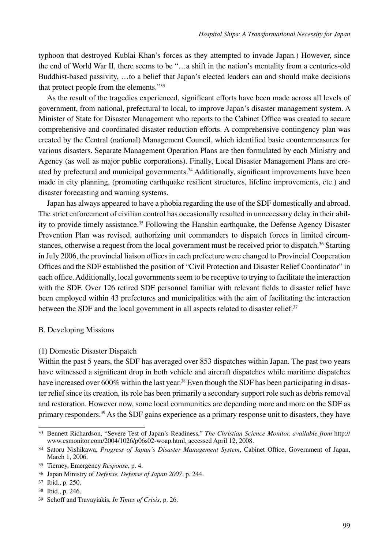typhoon that destroyed Kublai Khan's forces as they attempted to invade Japan.) However, since the end of World War II, there seems to be "…a shift in the nation's mentality from a centuries-old Buddhist-based passivity, …to a belief that Japan's elected leaders can and should make decisions that protect people from the elements."33

As the result of the tragedies experienced, significant efforts have been made across all levels of government, from national, prefectural to local, to improve Japan's disaster management system. A Minister of State for Disaster Management who reports to the Cabinet Office was created to secure comprehensive and coordinated disaster reduction efforts. A comprehensive contingency plan was created by the Central (national) Management Council, which identified basic countermeasures for various disasters. Separate Management Operation Plans are then formulated by each Ministry and Agency (as well as major public corporations). Finally, Local Disaster Management Plans are created by prefectural and municipal governments.<sup>34</sup> Additionally, significant improvements have been made in city planning, (promoting earthquake resilient structures, lifeline improvements, etc.) and disaster forecasting and warning systems.

Japan has always appeared to have a phobia regarding the use of the SDF domestically and abroad. The strict enforcement of civilian control has occasionally resulted in unnecessary delay in their ability to provide timely assistance.35 Following the Hanshin earthquake, the Defense Agency Disaster Prevention Plan was revised, authorizing unit commanders to dispatch forces in limited circumstances, otherwise a request from the local government must be received prior to dispatch.<sup>36</sup> Starting in July 2006, the provincial liaison offices in each prefecture were changed to Provincial Cooperation Offices and the SDF established the position of "Civil Protection and Disaster Relief Coordinator" in each office. Additionally, local governments seem to be receptive to trying to facilitate the interaction with the SDF. Over 126 retired SDF personnel familiar with relevant fields to disaster relief have been employed within 43 prefectures and municipalities with the aim of facilitating the interaction between the SDF and the local government in all aspects related to disaster relief.<sup>37</sup>

#### B. Developing Missions

#### (1) Domestic Disaster Dispatch

Within the past 5 years, the SDF has averaged over 853 dispatches within Japan. The past two years have witnessed a significant drop in both vehicle and aircraft dispatches while maritime dispatches have increased over 600% within the last year.<sup>38</sup> Even though the SDF has been participating in disaster relief since its creation, its role has been primarily a secondary support role such as debris removal and restoration. However now, some local communities are depending more and more on the SDF as primary responders.39 As the SDF gains experience as a primary response unit to disasters, they have

<sup>33</sup> Bennett Richardson, "Severe Test of Japan's Readiness," *The Christian Science Monitor, available from* http:// www.csmonitor.com/2004/1026/p06s02-woap.html, accessed April 12, 2008.

<sup>34</sup> Satoru Nishikawa, *Progress of Japan's Disaster Management System*, Cabinet Office, Government of Japan, March 1, 2006.

<sup>35</sup> Tierney, Emergency *Response*, p. 4.

<sup>36</sup> Japan Ministry of *Defense, Defense of Japan 2007*, p. 244.

<sup>37</sup> Ibid., p. 250.

<sup>38</sup> Ibid., p. 246.

<sup>39</sup> Schoff and Travayiakis, *In Times of Crisis*, p. 26.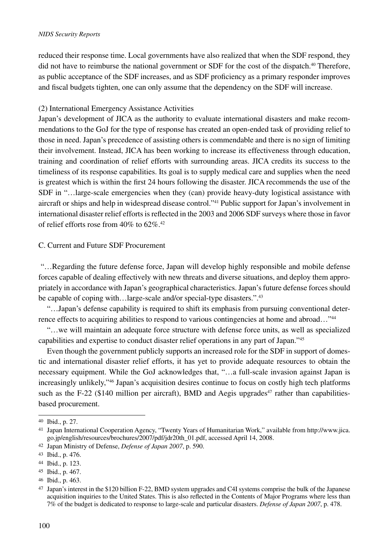#### *NIDS Security Reports*

reduced their response time. Local governments have also realized that when the SDF respond, they did not have to reimburse the national government or SDF for the cost of the dispatch.<sup>40</sup> Therefore, as public acceptance of the SDF increases, and as SDF proficiency as a primary responder improves and fiscal budgets tighten, one can only assume that the dependency on the SDF will increase.

### (2) International Emergency Assistance Activities

Japan's development of JICA as the authority to evaluate international disasters and make recommendations to the GoJ for the type of response has created an open-ended task of providing relief to those in need. Japan's precedence of assisting others is commendable and there is no sign of limiting their involvement. Instead, JICA has been working to increase its effectiveness through education, training and coordination of relief efforts with surrounding areas. JICA credits its success to the timeliness of its response capabilities. Its goal is to supply medical care and supplies when the need is greatest which is within the first 24 hours following the disaster. JICA recommends the use of the SDF in "…large-scale emergencies when they (can) provide heavy-duty logistical assistance with aircraft or ships and help in widespread disease control."41 Public support for Japan's involvement in international disaster relief efforts is reflected in the 2003 and 2006 SDF surveys where those in favor of relief efforts rose from 40% to 62%.42

## C. Current and Future SDF Procurement

 "…Regarding the future defense force, Japan will develop highly responsible and mobile defense forces capable of dealing effectively with new threats and diverse situations, and deploy them appropriately in accordance with Japan's geographical characteristics. Japan's future defense forces should be capable of coping with...large-scale and/or special-type disasters.".<sup>43</sup>

"…Japan's defense capability is required to shift its emphasis from pursuing conventional deterrence effects to acquiring abilities to respond to various contingencies at home and abroad…"44

"…we will maintain an adequate force structure with defense force units, as well as specialized capabilities and expertise to conduct disaster relief operations in any part of Japan."45

Even though the government publicly supports an increased role for the SDF in support of domestic and international disaster relief efforts, it has yet to provide adequate resources to obtain the necessary equipment. While the GoJ acknowledges that, "…a full-scale invasion against Japan is increasingly unlikely,"46 Japan's acquisition desires continue to focus on costly high tech platforms such as the F-22 (\$140 million per aircraft), BMD and Aegis upgrades<sup>47</sup> rather than capabilitiesbased procurement.

<sup>40</sup> Ibid., p. 27.

<sup>41</sup> Japan International Cooperation Agency, "Twenty Years of Humanitarian Work," available from http://www.jica. go.jp/english/resources/brochures/2007/pdf/jdr20th\_01.pdf, accessed April 14, 2008.

<sup>42</sup> Japan Ministry of Defense, *Defense of Japan 2007*, p. 590.

<sup>43</sup> Ibid., p. 476.

<sup>44</sup> Ibid., p. 123.

<sup>45</sup> Ibid., p. 467.

<sup>46</sup> Ibid., p. 463.

<sup>47</sup> Japan's interest in the \$120 billion F-22, BMD system upgrades and C4I systems comprise the bulk of the Japanese acquisition inquiries to the United States. This is also reflected in the Contents of Major Programs where less than 7% of the budget is dedicated to response to large-scale and particular disasters. *Defense of Japan 2007*, p. 478.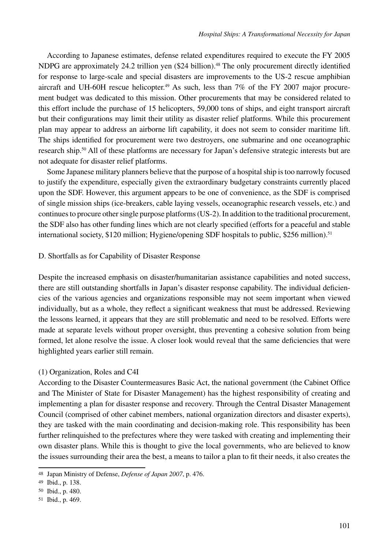According to Japanese estimates, defense related expenditures required to execute the FY 2005 NDPG are approximately 24.2 trillion yen (\$24 billion).<sup>48</sup> The only procurement directly identified for response to large-scale and special disasters are improvements to the US-2 rescue amphibian aircraft and UH-60H rescue helicopter.<sup>49</sup> As such, less than  $7\%$  of the FY 2007 major procurement budget was dedicated to this mission. Other procurements that may be considered related to this effort include the purchase of 15 helicopters, 59,000 tons of ships, and eight transport aircraft but their configurations may limit their utility as disaster relief platforms. While this procurement plan may appear to address an airborne lift capability, it does not seem to consider maritime lift. The ships identified for procurement were two destroyers, one submarine and one oceanographic research ship.50 All of these platforms are necessary for Japan's defensive strategic interests but are not adequate for disaster relief platforms.

Some Japanese military planners believe that the purpose of a hospital ship is too narrowly focused to justify the expenditure, especially given the extraordinary budgetary constraints currently placed upon the SDF. However, this argument appears to be one of convenience, as the SDF is comprised of single mission ships (ice-breakers, cable laying vessels, oceanographic research vessels, etc.) and continues to procure other single purpose platforms (US-2). In addition to the traditional procurement, the SDF also has other funding lines which are not clearly specified (efforts for a peaceful and stable international society, \$120 million; Hygiene/opening SDF hospitals to public, \$256 million).<sup>51</sup>

## D. Shortfalls as for Capability of Disaster Response

Despite the increased emphasis on disaster/humanitarian assistance capabilities and noted success, there are still outstanding shortfalls in Japan's disaster response capability. The individual deficiencies of the various agencies and organizations responsible may not seem important when viewed individually, but as a whole, they reflect a significant weakness that must be addressed. Reviewing the lessons learned, it appears that they are still problematic and need to be resolved. Efforts were made at separate levels without proper oversight, thus preventing a cohesive solution from being formed, let alone resolve the issue. A closer look would reveal that the same deficiencies that were highlighted years earlier still remain.

## (1) Organization, Roles and C4I

According to the Disaster Countermeasures Basic Act, the national government (the Cabinet Office and The Minister of State for Disaster Management) has the highest responsibility of creating and implementing a plan for disaster response and recovery. Through the Central Disaster Management Council (comprised of other cabinet members, national organization directors and disaster experts), they are tasked with the main coordinating and decision-making role. This responsibility has been further relinquished to the prefectures where they were tasked with creating and implementing their own disaster plans. While this is thought to give the local governments, who are believed to know the issues surrounding their area the best, a means to tailor a plan to fit their needs, it also creates the

<sup>48</sup> Japan Ministry of Defense, *Defense of Japan 2007*, p. 476.

<sup>49</sup> Ibid., p. 138.

<sup>50</sup> Ibid., p. 480.

<sup>51</sup> Ibid., p. 469.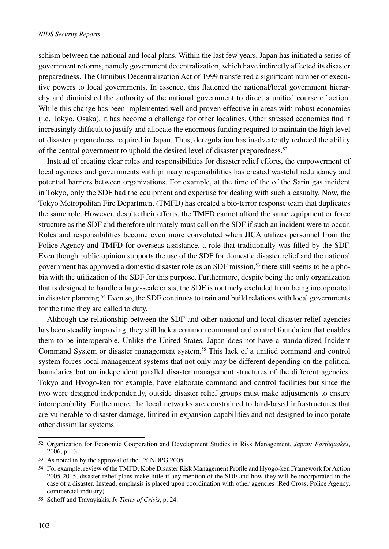schism between the national and local plans. Within the last few years, Japan has initiated a series of government reforms, namely government decentralization, which have indirectly affected its disaster preparedness. The Omnibus Decentralization Act of 1999 transferred a significant number of executive powers to local governments. In essence, this flattened the national/local government hierarchy and diminished the authority of the national government to direct a unified course of action. While this change has been implemented well and proven effective in areas with robust economies (i.e. Tokyo, Osaka), it has become a challenge for other localities. Other stressed economies find it increasingly difficult to justify and allocate the enormous funding required to maintain the high level of disaster preparedness required in Japan. Thus, deregulation has inadvertently reduced the ability of the central government to uphold the desired level of disaster preparedness.<sup>52</sup>

Instead of creating clear roles and responsibilities for disaster relief efforts, the empowerment of local agencies and governments with primary responsibilities has created wasteful redundancy and potential barriers between organizations. For example, at the time of the of the Sarin gas incident in Tokyo, only the SDF had the equipment and expertise for dealing with such a casualty. Now, the Tokyo Metropolitan Fire Department (TMFD) has created a bio-terror response team that duplicates the same role. However, despite their efforts, the TMFD cannot afford the same equipment or force structure as the SDF and therefore ultimately must call on the SDF if such an incident were to occur. Roles and responsibilities become even more convoluted when JICA utilizes personnel from the Police Agency and TMFD for overseas assistance, a role that traditionally was filled by the SDF. Even though public opinion supports the use of the SDF for domestic disaster relief and the national government has approved a domestic disaster role as an SDF mission,<sup>53</sup> there still seems to be a phobia with the utilization of the SDF for this purpose. Furthermore, despite being the only organization that is designed to handle a large-scale crisis, the SDF is routinely excluded from being incorporated in disaster planning.<sup>54</sup> Even so, the SDF continues to train and build relations with local governments for the time they are called to duty.

Although the relationship between the SDF and other national and local disaster relief agencies has been steadily improving, they still lack a common command and control foundation that enables them to be interoperable. Unlike the United States, Japan does not have a standardized Incident Command System or disaster management system.<sup>55</sup> This lack of a unified command and control system forces local management systems that not only may be different depending on the political boundaries but on independent parallel disaster management structures of the different agencies. Tokyo and Hyogo-ken for example, have elaborate command and control facilities but since the two were designed independently, outside disaster relief groups must make adjustments to ensure interoperability. Furthermore, the local networks are constrained to land-based infrastructures that are vulnerable to disaster damage, limited in expansion capabilities and not designed to incorporate other dissimilar systems.

<sup>52</sup> Organization for Economic Cooperation and Development Studies in Risk Management, *Japan: Earthquakes*, 2006, p. 13.

<sup>53</sup> As noted in by the approval of the FY NDPG 2005.

<sup>54</sup> For example, review of the TMFD, Kobe Disaster Risk Management Profile and Hyogo-ken Framework for Action 2005-2015, disaster relief plans make little if any mention of the SDF and how they will be incorporated in the case of a disaster. Instead, emphasis is placed upon coordination with other agencies (Red Cross, Police Agency, commercial industry).

<sup>55</sup> Schoff and Travayiakis, *In Times of Crisis*, p. 24.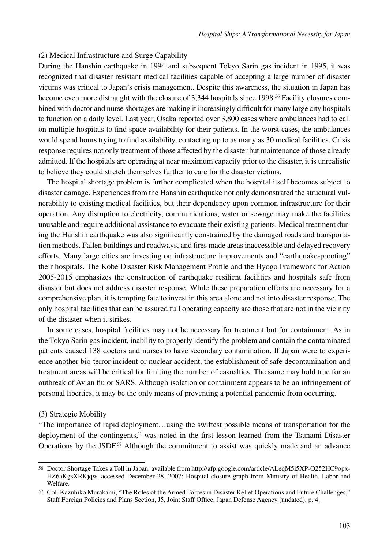#### (2) Medical Infrastructure and Surge Capability

During the Hanshin earthquake in 1994 and subsequent Tokyo Sarin gas incident in 1995, it was recognized that disaster resistant medical facilities capable of accepting a large number of disaster victims was critical to Japan's crisis management. Despite this awareness, the situation in Japan has become even more distraught with the closure of 3,344 hospitals since 1998.<sup>56</sup> Facility closures combined with doctor and nurse shortages are making it increasingly difficult for many large city hospitals to function on a daily level. Last year, Osaka reported over 3,800 cases where ambulances had to call on multiple hospitals to find space availability for their patients. In the worst cases, the ambulances would spend hours trying to find availability, contacting up to as many as 30 medical facilities. Crisis response requires not only treatment of those affected by the disaster but maintenance of those already admitted. If the hospitals are operating at near maximum capacity prior to the disaster, it is unrealistic to believe they could stretch themselves further to care for the disaster victims.

The hospital shortage problem is further complicated when the hospital itself becomes subject to disaster damage. Experiences from the Hanshin earthquake not only demonstrated the structural vulnerability to existing medical facilities, but their dependency upon common infrastructure for their operation. Any disruption to electricity, communications, water or sewage may make the facilities unusable and require additional assistance to evacuate their existing patients. Medical treatment during the Hanshin earthquake was also significantly constrained by the damaged roads and transportation methods. Fallen buildings and roadways, and fires made areas inaccessible and delayed recovery efforts. Many large cities are investing on infrastructure improvements and "earthquake-proofing" their hospitals. The Kobe Disaster Risk Management Profile and the Hyogo Framework for Action 2005-2015 emphasizes the construction of earthquake resilient facilities and hospitals safe from disaster but does not address disaster response. While these preparation efforts are necessary for a comprehensive plan, it is tempting fate to invest in this area alone and not into disaster response. The only hospital facilities that can be assured full operating capacity are those that are not in the vicinity of the disaster when it strikes.

In some cases, hospital facilities may not be necessary for treatment but for containment. As in the Tokyo Sarin gas incident, inability to properly identify the problem and contain the contaminated patients caused 138 doctors and nurses to have secondary contamination. If Japan were to experience another bio-terror incident or nuclear accident, the establishment of safe decontamination and treatment areas will be critical for limiting the number of casualties. The same may hold true for an outbreak of Avian flu or SARS. Although isolation or containment appears to be an infringement of personal liberties, it may be the only means of preventing a potential pandemic from occurring.

#### (3) Strategic Mobility

"The importance of rapid deployment…using the swiftest possible means of transportation for the deployment of the contingents," was noted in the first lesson learned from the Tsunami Disaster Operations by the JSDF.<sup>57</sup> Although the commitment to assist was quickly made and an advance

<sup>56</sup> Doctor Shortage Takes a Toll in Japan, available from http://afp.google.com/article/ALeqM5i5XP-O252HC9opx-HZ6aKgsXRKjqw, accessed December 28, 2007; Hospital closure graph from Ministry of Health, Labor and Welfare.

<sup>57</sup> Col. Kazuhiko Murakami, "The Roles of the Armed Forces in Disaster Relief Operations and Future Challenges," Staff Foreign Policies and Plans Section, J5, Joint Staff Office, Japan Defense Agency (undated), p. 4.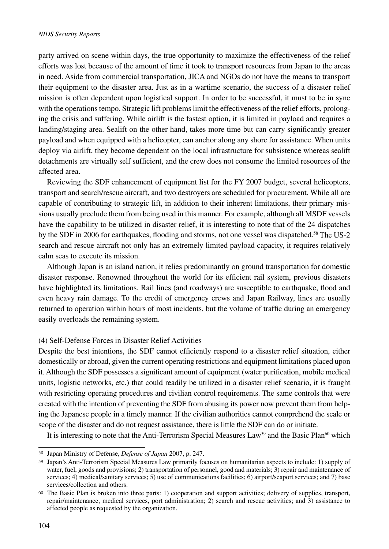party arrived on scene within days, the true opportunity to maximize the effectiveness of the relief efforts was lost because of the amount of time it took to transport resources from Japan to the areas in need. Aside from commercial transportation, JICA and NGOs do not have the means to transport their equipment to the disaster area. Just as in a wartime scenario, the success of a disaster relief mission is often dependent upon logistical support. In order to be successful, it must to be in sync with the operations tempo. Strategic lift problems limit the effectiveness of the relief efforts, prolonging the crisis and suffering. While airlift is the fastest option, it is limited in payload and requires a landing/staging area. Sealift on the other hand, takes more time but can carry significantly greater payload and when equipped with a helicopter, can anchor along any shore for assistance. When units deploy via airlift, they become dependent on the local infrastructure for subsistence whereas sealift detachments are virtually self sufficient, and the crew does not consume the limited resources of the affected area.

Reviewing the SDF enhancement of equipment list for the FY 2007 budget, several helicopters, transport and search/rescue aircraft, and two destroyers are scheduled for procurement. While all are capable of contributing to strategic lift, in addition to their inherent limitations, their primary missions usually preclude them from being used in this manner. For example, although all MSDF vessels have the capability to be utilized in disaster relief, it is interesting to note that of the 24 dispatches by the SDF in 2006 for earthquakes, flooding and storms, not one vessel was dispatched.<sup>58</sup> The US-2 search and rescue aircraft not only has an extremely limited payload capacity, it requires relatively calm seas to execute its mission.

Although Japan is an island nation, it relies predominantly on ground transportation for domestic disaster response. Renowned throughout the world for its efficient rail system, previous disasters have highlighted its limitations. Rail lines (and roadways) are susceptible to earthquake, flood and even heavy rain damage. To the credit of emergency crews and Japan Railway, lines are usually returned to operation within hours of most incidents, but the volume of traffic during an emergency easily overloads the remaining system.

## (4) Self-Defense Forces in Disaster Relief Activities

Despite the best intentions, the SDF cannot efficiently respond to a disaster relief situation, either domestically or abroad, given the current operating restrictions and equipment limitations placed upon it. Although the SDF possesses a significant amount of equipment (water purification, mobile medical units, logistic networks, etc.) that could readily be utilized in a disaster relief scenario, it is fraught with restricting operating procedures and civilian control requirements. The same controls that were created with the intention of preventing the SDF from abusing its power now prevent them from helping the Japanese people in a timely manner. If the civilian authorities cannot comprehend the scale or scope of the disaster and do not request assistance, there is little the SDF can do or initiate.

It is interesting to note that the Anti-Terrorism Special Measures Law<sup>59</sup> and the Basic Plan<sup>60</sup> which

<sup>58</sup> Japan Ministry of Defense, *Defense of Japan* 2007, p. 247.

<sup>59</sup> Japan's Anti-Terrorism Special Measures Law primarily focuses on humanitarian aspects to include: 1) supply of water, fuel, goods and provisions; 2) transportation of personnel, good and materials; 3) repair and maintenance of services; 4) medical/sanitary services; 5) use of communications facilities; 6) airport/seaport services; and 7) base services/collection and others.

<sup>60</sup> The Basic Plan is broken into three parts: 1) cooperation and support activities; delivery of supplies, transport, repair/maintenance, medical services, port administration; 2) search and rescue activities; and 3) assistance to affected people as requested by the organization.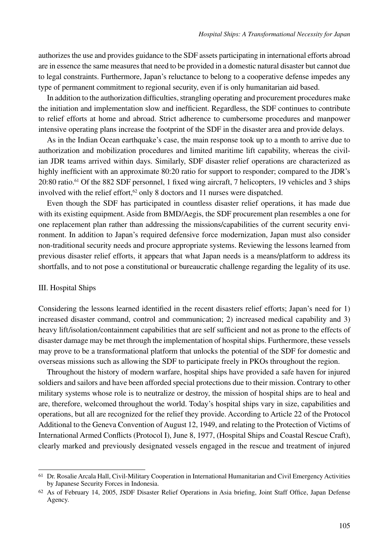authorizes the use and provides guidance to the SDF assets participating in international efforts abroad are in essence the same measures that need to be provided in a domestic natural disaster but cannot due to legal constraints. Furthermore, Japan's reluctance to belong to a cooperative defense impedes any type of permanent commitment to regional security, even if is only humanitarian aid based.

In addition to the authorization difficulties, strangling operating and procurement procedures make the initiation and implementation slow and inefficient. Regardless, the SDF continues to contribute to relief efforts at home and abroad. Strict adherence to cumbersome procedures and manpower intensive operating plans increase the footprint of the SDF in the disaster area and provide delays.

As in the Indian Ocean earthquake's case, the main response took up to a month to arrive due to authorization and mobilization procedures and limited maritime lift capability, whereas the civilian JDR teams arrived within days. Similarly, SDF disaster relief operations are characterized as highly inefficient with an approximate 80:20 ratio for support to responder; compared to the JDR's 20:80 ratio.61 Of the 882 SDF personnel, 1 fixed wing aircraft, 7 helicopters, 19 vehicles and 3 ships involved with the relief effort,<sup>62</sup> only 8 doctors and 11 nurses were dispatched.

Even though the SDF has participated in countless disaster relief operations, it has made due with its existing equipment. Aside from BMD/Aegis, the SDF procurement plan resembles a one for one replacement plan rather than addressing the missions/capabilities of the current security environment. In addition to Japan's required defensive force modernization, Japan must also consider non-traditional security needs and procure appropriate systems. Reviewing the lessons learned from previous disaster relief efforts, it appears that what Japan needs is a means/platform to address its shortfalls, and to not pose a constitutional or bureaucratic challenge regarding the legality of its use.

#### III. Hospital Ships

Considering the lessons learned identified in the recent disasters relief efforts; Japan's need for 1) increased disaster command, control and communication; 2) increased medical capability and 3) heavy lift/isolation/containment capabilities that are self sufficient and not as prone to the effects of disaster damage may be met through the implementation of hospital ships. Furthermore, these vessels may prove to be a transformational platform that unlocks the potential of the SDF for domestic and overseas missions such as allowing the SDF to participate freely in PKOs throughout the region.

Throughout the history of modern warfare, hospital ships have provided a safe haven for injured soldiers and sailors and have been afforded special protections due to their mission. Contrary to other military systems whose role is to neutralize or destroy, the mission of hospital ships are to heal and are, therefore, welcomed throughout the world. Today's hospital ships vary in size, capabilities and operations, but all are recognized for the relief they provide. According to Article 22 of the Protocol Additional to the Geneva Convention of August 12, 1949, and relating to the Protection of Victims of International Armed Conflicts (Protocol I), June 8, 1977, (Hospital Ships and Coastal Rescue Craft), clearly marked and previously designated vessels engaged in the rescue and treatment of injured

<sup>61</sup> Dr. Rosalie Arcala Hall, Civil-Military Cooperation in International Humanitarian and Civil Emergency Activities by Japanese Security Forces in Indonesia.

<sup>62</sup> As of February 14, 2005, JSDF Disaster Relief Operations in Asia briefing, Joint Staff Office, Japan Defense Agency.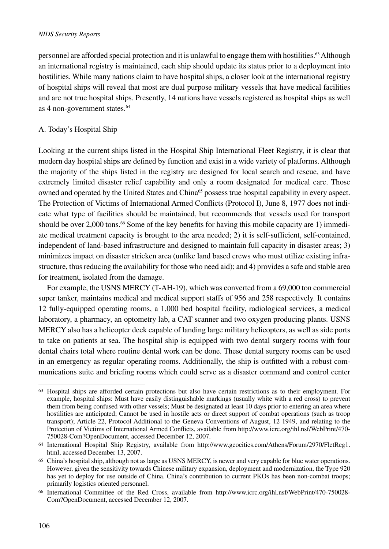#### *NIDS Security Reports*

personnel are afforded special protection and it is unlawful to engage them with hostilities.63 Although an international registry is maintained, each ship should update its status prior to a deployment into hostilities. While many nations claim to have hospital ships, a closer look at the international registry of hospital ships will reveal that most are dual purpose military vessels that have medical facilities and are not true hospital ships. Presently, 14 nations have vessels registered as hospital ships as well as 4 non-government states.<sup>64</sup>

## A. Today's Hospital Ship

Looking at the current ships listed in the Hospital Ship International Fleet Registry, it is clear that modern day hospital ships are defined by function and exist in a wide variety of platforms. Although the majority of the ships listed in the registry are designed for local search and rescue, and have extremely limited disaster relief capability and only a room designated for medical care. Those owned and operated by the United States and China<sup>65</sup> possess true hospital capability in every aspect. The Protection of Victims of International Armed Conflicts (Protocol I), June 8, 1977 does not indicate what type of facilities should be maintained, but recommends that vessels used for transport should be over 2,000 tons.<sup>66</sup> Some of the key benefits for having this mobile capacity are 1) immediate medical treatment capacity is brought to the area needed; 2) it is self-sufficient, self-contained, independent of land-based infrastructure and designed to maintain full capacity in disaster areas; 3) minimizes impact on disaster stricken area (unlike land based crews who must utilize existing infrastructure, thus reducing the availability for those who need aid); and 4) provides a safe and stable area for treatment, isolated from the damage.

For example, the USNS MERCY (T-AH-19), which was converted from a 69,000 ton commercial super tanker, maintains medical and medical support staffs of 956 and 258 respectively. It contains 12 fully-equipped operating rooms, a 1,000 bed hospital facility, radiological services, a medical laboratory, a pharmacy, an optometry lab, a CAT scanner and two oxygen producing plants. USNS MERCY also has a helicopter deck capable of landing large military helicopters, as well as side ports to take on patients at sea. The hospital ship is equipped with two dental surgery rooms with four dental chairs total where routine dental work can be done. These dental surgery rooms can be used in an emergency as regular operating rooms. Additionally, the ship is outfitted with a robust communications suite and briefing rooms which could serve as a disaster command and control center

<sup>63</sup> Hospital ships are afforded certain protections but also have certain restrictions as to their employment. For example, hospital ships: Must have easily distinguishable markings (usually white with a red cross) to prevent them from being confused with other vessels; Must be designated at least 10 days prior to entering an area where hostilities are anticipated; Cannot be used in hostile acts or direct support of combat operations (such as troop transport); Article 22, Protocol Additional to the Geneva Conventions of August, 12 1949, and relating to the Protection of Victims of International Armed Conflicts, available from http://www.icrc.org/ihl.nsf/WebPrint/470- 750028-Com?OpenDocument, accessed December 12, 2007.

<sup>64</sup> International Hospital Ship Registry, available from http://www.geocities.com/Athens/Forum/2970/FletReg1. html, accessed December 13, 2007.

<sup>65</sup> China's hospital ship, although not as large as USNS MERCY, is newer and very capable for blue water operations. However, given the sensitivity towards Chinese military expansion, deployment and modernization, the Type 920 has yet to deploy for use outside of China. China's contribution to current PKOs has been non-combat troops; primarily logistics oriented personnel.

<sup>66</sup> International Committee of the Red Cross, available from http://www.icrc.org/ihl.nsf/WebPrint/470-750028- Com?OpenDocument, accessed December 12, 2007.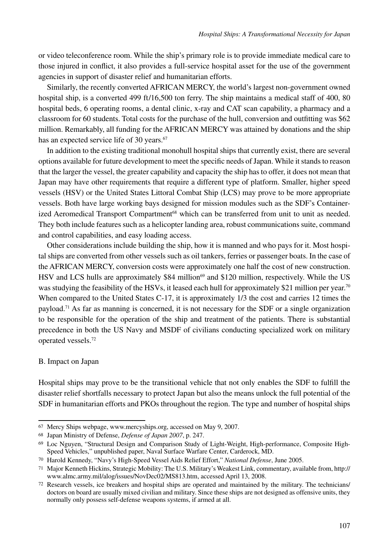or video teleconference room. While the ship's primary role is to provide immediate medical care to those injured in conflict, it also provides a full-service hospital asset for the use of the government agencies in support of disaster relief and humanitarian efforts.

Similarly, the recently converted AFRICAN MERCY, the world's largest non-government owned hospital ship, is a converted 499 ft/16,500 ton ferry. The ship maintains a medical staff of 400, 80 hospital beds, 6 operating rooms, a dental clinic, x-ray and CAT scan capability, a pharmacy and a classroom for 60 students. Total costs for the purchase of the hull, conversion and outfitting was \$62 million. Remarkably, all funding for the AFRICAN MERCY was attained by donations and the ship has an expected service life of 30 years.<sup>67</sup>

In addition to the existing traditional monohull hospital ships that currently exist, there are several options available for future development to meet the specific needs of Japan. While it stands to reason that the larger the vessel, the greater capability and capacity the ship has to offer, it does not mean that Japan may have other requirements that require a different type of platform. Smaller, higher speed vessels (HSV) or the United States Littoral Combat Ship (LCS) may prove to be more appropriate vessels. Both have large working bays designed for mission modules such as the SDF's Containerized Aeromedical Transport Compartment<sup>68</sup> which can be transferred from unit to unit as needed. They both include features such as a helicopter landing area, robust communications suite, command and control capabilities, and easy loading access.

Other considerations include building the ship, how it is manned and who pays for it. Most hospital ships are converted from other vessels such as oil tankers, ferries or passenger boats. In the case of the AFRICAN MERCY, conversion costs were approximately one half the cost of new construction. HSV and LCS hulls are approximately \$84 million<sup>69</sup> and \$120 million, respectively. While the US was studying the feasibility of the HSVs, it leased each hull for approximately \$21 million per year.<sup>70</sup> When compared to the United States C-17, it is approximately 1/3 the cost and carries 12 times the payload.71 As far as manning is concerned, it is not necessary for the SDF or a single organization to be responsible for the operation of the ship and treatment of the patients. There is substantial precedence in both the US Navy and MSDF of civilians conducting specialized work on military operated vessels.72

#### B. Impact on Japan

Hospital ships may prove to be the transitional vehicle that not only enables the SDF to fulfill the disaster relief shortfalls necessary to protect Japan but also the means unlock the full potential of the SDF in humanitarian efforts and PKOs throughout the region. The type and number of hospital ships

<sup>67</sup> Mercy Ships webpage, www.mercyships.org, accessed on May 9, 2007.

<sup>68</sup> Japan Ministry of Defense, *Defense of Japan 2007*, p. 247.

<sup>69</sup> Loc Nguyen, "Structural Design and Comparison Study of Light-Weight, High-performance, Composite High-Speed Vehicles," unpublished paper, Naval Surface Warfare Center, Carderock, MD.

<sup>70</sup> Harold Kennedy, "Navy's High-Speed Vessel Aids Relief Effort," *National Defense*, June 2005.

<sup>71</sup> Major Kenneth Hickins, Strategic Mobility: The U.S. Military's Weakest Link, commentary, available from, http:// www.almc.army.mil/alog/issues/NovDec02/MS813.htm, accessed April 13, 2008.

<sup>72</sup> Research vessels, ice breakers and hospital ships are operated and maintained by the military. The technicians/ doctors on board are usually mixed civilian and military. Since these ships are not designed as offensive units, they normally only possess self-defense weapons systems, if armed at all.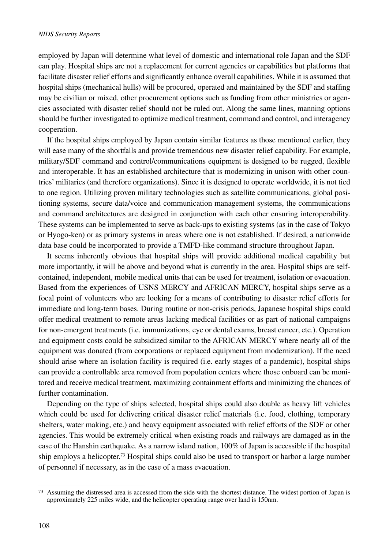employed by Japan will determine what level of domestic and international role Japan and the SDF can play. Hospital ships are not a replacement for current agencies or capabilities but platforms that facilitate disaster relief efforts and significantly enhance overall capabilities. While it is assumed that hospital ships (mechanical hulls) will be procured, operated and maintained by the SDF and staffing may be civilian or mixed, other procurement options such as funding from other ministries or agencies associated with disaster relief should not be ruled out. Along the same lines, manning options should be further investigated to optimize medical treatment, command and control, and interagency cooperation.

If the hospital ships employed by Japan contain similar features as those mentioned earlier, they will ease many of the shortfalls and provide tremendous new disaster relief capability. For example, military/SDF command and control/communications equipment is designed to be rugged, flexible and interoperable. It has an established architecture that is modernizing in unison with other countries' militaries (and therefore organizations). Since it is designed to operate worldwide, it is not tied to one region. Utilizing proven military technologies such as satellite communications, global positioning systems, secure data/voice and communication management systems, the communications and command architectures are designed in conjunction with each other ensuring interoperability. These systems can be implemented to serve as back-ups to existing systems (as in the case of Tokyo or Hyogo-ken) or as primary systems in areas where one is not established. If desired, a nationwide data base could be incorporated to provide a TMFD-like command structure throughout Japan.

It seems inherently obvious that hospital ships will provide additional medical capability but more importantly, it will be above and beyond what is currently in the area. Hospital ships are selfcontained, independent, mobile medical units that can be used for treatment, isolation or evacuation. Based from the experiences of USNS MERCY and AFRICAN MERCY, hospital ships serve as a focal point of volunteers who are looking for a means of contributing to disaster relief efforts for immediate and long-term bases. During routine or non-crisis periods, Japanese hospital ships could offer medical treatment to remote areas lacking medical facilities or as part of national campaigns for non-emergent treatments (i.e. immunizations, eye or dental exams, breast cancer, etc.). Operation and equipment costs could be subsidized similar to the AFRICAN MERCY where nearly all of the equipment was donated (from corporations or replaced equipment from modernization). If the need should arise where an isolation facility is required (i.e. early stages of a pandemic), hospital ships can provide a controllable area removed from population centers where those onboard can be monitored and receive medical treatment, maximizing containment efforts and minimizing the chances of further contamination.

Depending on the type of ships selected, hospital ships could also double as heavy lift vehicles which could be used for delivering critical disaster relief materials (i.e. food, clothing, temporary shelters, water making, etc.) and heavy equipment associated with relief efforts of the SDF or other agencies. This would be extremely critical when existing roads and railways are damaged as in the case of the Hanshin earthquake. As a narrow island nation, 100% of Japan is accessible if the hospital ship employs a helicopter.<sup>73</sup> Hospital ships could also be used to transport or harbor a large number of personnel if necessary, as in the case of a mass evacuation.

<sup>73</sup> Assuming the distressed area is accessed from the side with the shortest distance. The widest portion of Japan is approximately 225 miles wide, and the helicopter operating range over land is 150nm.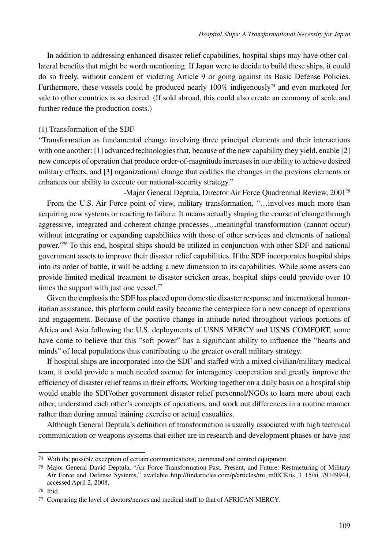In addition to addressing enhanced disaster relief capabilities, hospital ships may have other collateral benefits that might be worth mentioning. If Japan were to decide to build these ships, it could do so freely, without concern of violating Article 9 or going against its Basic Defense Policies. Furthermore, these vessels could be produced nearly  $100\%$  indigenously<sup>74</sup> and even marketed for sale to other countries is so desired. (If sold abroad, this could also create an economy of scale and further reduce the production costs.)

### (1) Transformation of the SDF

"Transformation as fundamental change involving three principal elements and their interactions with one another: [1] advanced technologies that, because of the new capability they yield, enable [2] new concepts of operation that produce order-of-magnitude increases in our ability to achieve desired military effects, and [3] organizational change that codifies the changes in the previous elements or enhances our ability to execute our national-security strategy."

-Major General Deptula, Director Air Force Quadrennial Review, 200175 From the U.S. Air Force point of view, military transformation, "…involves much more than acquiring new systems or reacting to failure. It means actually shaping the course of change through aggressive, integrated and coherent change processes…meaningful transformation (cannot occur) without integrating or expanding capabilities with those of other services and elements of national power."76 To this end, hospital ships should be utilized in conjunction with other SDF and national government assets to improve their disaster relief capabilities. If the SDF incorporates hospital ships into its order of battle, it will be adding a new dimension to its capabilities. While some assets can provide limited medical treatment to disaster stricken areas, hospital ships could provide over 10 times the support with just one vessel.<sup>77</sup>

Given the emphasis the SDF has placed upon domestic disaster response and international humanitarian assistance, this platform could easily become the centerpiece for a new concept of operations and engagement. Because of the positive change in attitude noted throughout various portions of Africa and Asia following the U.S. deployments of USNS MERCY and USNS COMFORT, some have come to believe that this "soft power" has a significant ability to influence the "hearts and minds" of local populations thus contributing to the greater overall military strategy.

If hospital ships are incorporated into the SDF and staffed with a mixed civilian/military medical team, it could provide a much needed avenue for interagency cooperation and greatly improve the efficiency of disaster relief teams in their efforts. Working together on a daily basis on a hospital ship would enable the SDF/other government disaster relief personnel/NGOs to learn more about each other, understand each other's concepts of operations, and work out differences in a routine manner rather than during annual training exercise or actual casualties.

Although General Deptula's definition of transformation is usually associated with high technical communication or weapons systems that either are in research and development phases or have just

<sup>74</sup> With the possible exception of certain communications, command and control equipment.

<sup>75</sup> Major General David Deptula, "Air Force Transformation Past, Present, and Future: Restructuring of Military Air Force and Defense Systems," available http://findarticles.com/p/articles/mi\_m0ICK/is\_3\_15/ai\_79149944, accessed April 2, 2008.

<sup>76</sup> Ibid.

<sup>77</sup> Comparing the level of doctors/nurses and medical staff to that of AFRICAN MERCY.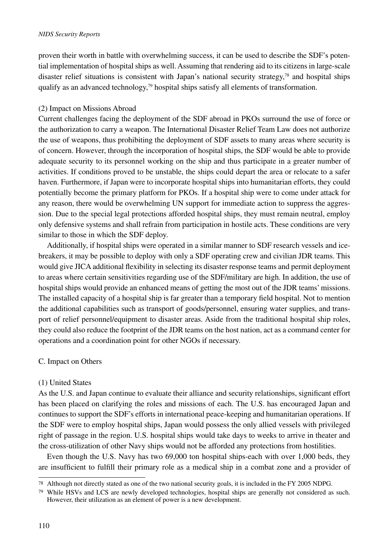proven their worth in battle with overwhelming success, it can be used to describe the SDF's potential implementation of hospital ships as well. Assuming that rendering aid to its citizens in large-scale disaster relief situations is consistent with Japan's national security strategy,78 and hospital ships qualify as an advanced technology, $79$  hospital ships satisfy all elements of transformation.

## (2) Impact on Missions Abroad

Current challenges facing the deployment of the SDF abroad in PKOs surround the use of force or the authorization to carry a weapon. The International Disaster Relief Team Law does not authorize the use of weapons, thus prohibiting the deployment of SDF assets to many areas where security is of concern. However, through the incorporation of hospital ships, the SDF would be able to provide adequate security to its personnel working on the ship and thus participate in a greater number of activities. If conditions proved to be unstable, the ships could depart the area or relocate to a safer haven. Furthermore, if Japan were to incorporate hospital ships into humanitarian efforts, they could potentially become the primary platform for PKOs. If a hospital ship were to come under attack for any reason, there would be overwhelming UN support for immediate action to suppress the aggression. Due to the special legal protections afforded hospital ships, they must remain neutral, employ only defensive systems and shall refrain from participation in hostile acts. These conditions are very similar to those in which the SDF deploy.

Additionally, if hospital ships were operated in a similar manner to SDF research vessels and icebreakers, it may be possible to deploy with only a SDF operating crew and civilian JDR teams. This would give JICA additional flexibility in selecting its disaster response teams and permit deployment to areas where certain sensitivities regarding use of the SDF/military are high. In addition, the use of hospital ships would provide an enhanced means of getting the most out of the JDR teams' missions. The installed capacity of a hospital ship is far greater than a temporary field hospital. Not to mention the additional capabilities such as transport of goods/personnel, ensuring water supplies, and transport of relief personnel/equipment to disaster areas. Aside from the traditional hospital ship roles, they could also reduce the footprint of the JDR teams on the host nation, act as a command center for operations and a coordination point for other NGOs if necessary.

## C. Impact on Others

## (1) United States

As the U.S. and Japan continue to evaluate their alliance and security relationships, significant effort has been placed on clarifying the roles and missions of each. The U.S. has encouraged Japan and continues to support the SDF's efforts in international peace-keeping and humanitarian operations. If the SDF were to employ hospital ships, Japan would possess the only allied vessels with privileged right of passage in the region. U.S. hospital ships would take days to weeks to arrive in theater and the cross-utilization of other Navy ships would not be afforded any protections from hostilities.

Even though the U.S. Navy has two 69,000 ton hospital ships-each with over 1,000 beds, they are insufficient to fulfill their primary role as a medical ship in a combat zone and a provider of

<sup>78</sup> Although not directly stated as one of the two national security goals, it is included in the FY 2005 NDPG.

<sup>79</sup> While HSVs and LCS are newly developed technologies, hospital ships are generally not considered as such. However, their utilization as an element of power is a new development.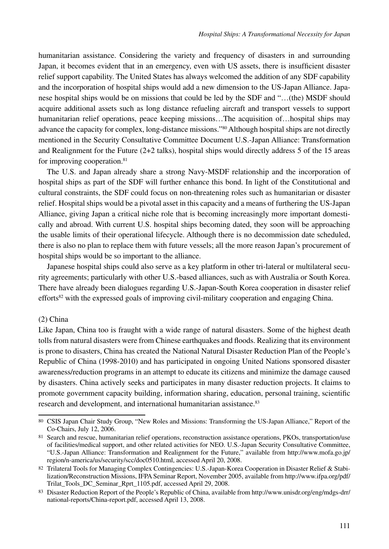humanitarian assistance. Considering the variety and frequency of disasters in and surrounding Japan, it becomes evident that in an emergency, even with US assets, there is insufficient disaster relief support capability. The United States has always welcomed the addition of any SDF capability and the incorporation of hospital ships would add a new dimension to the US-Japan Alliance. Japanese hospital ships would be on missions that could be led by the SDF and "…(the) MSDF should acquire additional assets such as long distance refueling aircraft and transport vessels to support humanitarian relief operations, peace keeping missions...The acquisition of...bospital ships may advance the capacity for complex, long-distance missions."80 Although hospital ships are not directly mentioned in the Security Consultative Committee Document U.S.-Japan Alliance: Transformation and Realignment for the Future  $(2+2)$  talks), hospital ships would directly address 5 of the 15 areas for improving cooperation.<sup>81</sup>

The U.S. and Japan already share a strong Navy-MSDF relationship and the incorporation of hospital ships as part of the SDF will further enhance this bond. In light of the Constitutional and cultural constraints, the SDF could focus on non-threatening roles such as humanitarian or disaster relief. Hospital ships would be a pivotal asset in this capacity and a means of furthering the US-Japan Alliance, giving Japan a critical niche role that is becoming increasingly more important domestically and abroad. With current U.S. hospital ships becoming dated, they soon will be approaching the usable limits of their operational lifecycle. Although there is no decommission date scheduled, there is also no plan to replace them with future vessels; all the more reason Japan's procurement of hospital ships would be so important to the alliance.

Japanese hospital ships could also serve as a key platform in other tri-lateral or multilateral security agreements; particularly with other U.S.-based alliances, such as with Australia or South Korea. There have already been dialogues regarding U.S.-Japan-South Korea cooperation in disaster relief efforts<sup>82</sup> with the expressed goals of improving civil-military cooperation and engaging China.

#### (2) China

Like Japan, China too is fraught with a wide range of natural disasters. Some of the highest death tolls from natural disasters were from Chinese earthquakes and floods. Realizing that its environment is prone to disasters, China has created the National Natural Disaster Reduction Plan of the People's Republic of China (1998-2010) and has participated in ongoing United Nations sponsored disaster awareness/reduction programs in an attempt to educate its citizens and minimize the damage caused by disasters. China actively seeks and participates in many disaster reduction projects. It claims to promote government capacity building, information sharing, education, personal training, scientific research and development, and international humanitarian assistance.<sup>83</sup>

<sup>80</sup> CSIS Japan Chair Study Group, "New Roles and Missions: Transforming the US-Japan Alliance," Report of the Co-Chairs, July 12, 2006.

<sup>81</sup> Search and rescue, humanitarian relief operations, reconstruction assistance operations, PKOs, transportation/use of facilities/medical support, and other related activities for NEO. U.S.-Japan Security Consultative Committee, "U.S.-Japan Alliance: Transformation and Realignment for the Future," available from http://www.mofa.go.jp/ region/n-america/us/security/scc/doc0510.html, accessed April 20, 2008.

<sup>82</sup> Trilateral Tools for Managing Complex Contingencies: U.S.-Japan-Korea Cooperation in Disaster Relief & Stabilization/Reconstruction Missions, IFPA Seminar Report, November 2005, available from http://www.ifpa.org/pdf/ Trilat\_Tools\_DC\_Seminar\_Rprt\_1105.pdf, accessed April 29, 2008.

<sup>83</sup> Disaster Reduction Report of the People's Republic of China, available from http://www.unisdr.org/eng/mdgs-drr/ national-reports/China-report.pdf, accessed April 13, 2008.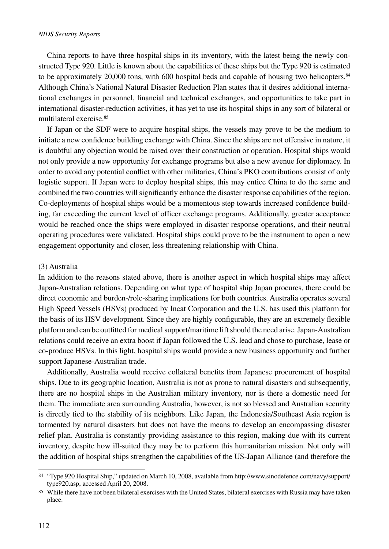China reports to have three hospital ships in its inventory, with the latest being the newly constructed Type 920. Little is known about the capabilities of these ships but the Type 920 is estimated to be approximately 20,000 tons, with 600 hospital beds and capable of housing two helicopters.<sup>84</sup> Although China's National Natural Disaster Reduction Plan states that it desires additional international exchanges in personnel, financial and technical exchanges, and opportunities to take part in international disaster-reduction activities, it has yet to use its hospital ships in any sort of bilateral or multilateral exercise.85

If Japan or the SDF were to acquire hospital ships, the vessels may prove to be the medium to initiate a new confidence building exchange with China. Since the ships are not offensive in nature, it is doubtful any objection would be raised over their construction or operation. Hospital ships would not only provide a new opportunity for exchange programs but also a new avenue for diplomacy. In order to avoid any potential conflict with other militaries, China's PKO contributions consist of only logistic support. If Japan were to deploy hospital ships, this may entice China to do the same and combined the two countries will significantly enhance the disaster response capabilities of the region. Co-deployments of hospital ships would be a momentous step towards increased confidence building, far exceeding the current level of officer exchange programs. Additionally, greater acceptance would be reached once the ships were employed in disaster response operations, and their neutral operating procedures were validated. Hospital ships could prove to be the instrument to open a new engagement opportunity and closer, less threatening relationship with China.

#### (3) Australia

In addition to the reasons stated above, there is another aspect in which hospital ships may affect Japan-Australian relations. Depending on what type of hospital ship Japan procures, there could be direct economic and burden-/role-sharing implications for both countries. Australia operates several High Speed Vessels (HSVs) produced by Incat Corporation and the U.S. has used this platform for the basis of its HSV development. Since they are highly configurable, they are an extremely flexible platform and can be outfitted for medical support/maritime lift should the need arise. Japan-Australian relations could receive an extra boost if Japan followed the U.S. lead and chose to purchase, lease or co-produce HSVs. In this light, hospital ships would provide a new business opportunity and further support Japanese-Australian trade.

Additionally, Australia would receive collateral benefits from Japanese procurement of hospital ships. Due to its geographic location, Australia is not as prone to natural disasters and subsequently, there are no hospital ships in the Australian military inventory, nor is there a domestic need for them. The immediate area surrounding Australia, however, is not so blessed and Australian security is directly tied to the stability of its neighbors. Like Japan, the Indonesia/Southeast Asia region is tormented by natural disasters but does not have the means to develop an encompassing disaster relief plan. Australia is constantly providing assistance to this region, making due with its current inventory, despite how ill-suited they may be to perform this humanitarian mission. Not only will the addition of hospital ships strengthen the capabilities of the US-Japan Alliance (and therefore the

<sup>84</sup> "Type 920 Hospital Ship," updated on March 10, 2008, available from http://www.sinodefence.com/navy/support/ type920.asp, accessed April 20, 2008.

<sup>85</sup> While there have not been bilateral exercises with the United States, bilateral exercises with Russia may have taken place.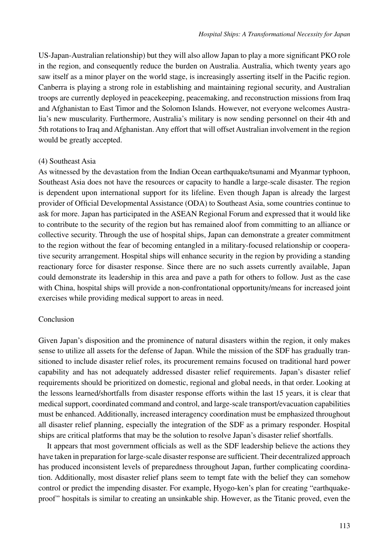US-Japan-Australian relationship) but they will also allow Japan to play a more significant PKO role in the region, and consequently reduce the burden on Australia. Australia, which twenty years ago saw itself as a minor player on the world stage, is increasingly asserting itself in the Pacific region. Canberra is playing a strong role in establishing and maintaining regional security, and Australian troops are currently deployed in peacekeeping, peacemaking, and reconstruction missions from Iraq and Afghanistan to East Timor and the Solomon Islands. However, not everyone welcomes Australia's new muscularity. Furthermore, Australia's military is now sending personnel on their 4th and 5th rotations to Iraq and Afghanistan. Any effort that will offset Australian involvement in the region would be greatly accepted.

#### (4) Southeast Asia

As witnessed by the devastation from the Indian Ocean earthquake/tsunami and Myanmar typhoon, Southeast Asia does not have the resources or capacity to handle a large-scale disaster. The region is dependent upon international support for its lifeline. Even though Japan is already the largest provider of Official Developmental Assistance (ODA) to Southeast Asia, some countries continue to ask for more. Japan has participated in the ASEAN Regional Forum and expressed that it would like to contribute to the security of the region but has remained aloof from committing to an alliance or collective security. Through the use of hospital ships, Japan can demonstrate a greater commitment to the region without the fear of becoming entangled in a military-focused relationship or cooperative security arrangement. Hospital ships will enhance security in the region by providing a standing reactionary force for disaster response. Since there are no such assets currently available, Japan could demonstrate its leadership in this area and pave a path for others to follow. Just as the case with China, hospital ships will provide a non-confrontational opportunity/means for increased joint exercises while providing medical support to areas in need.

## Conclusion

Given Japan's disposition and the prominence of natural disasters within the region, it only makes sense to utilize all assets for the defense of Japan. While the mission of the SDF has gradually transitioned to include disaster relief roles, its procurement remains focused on traditional hard power capability and has not adequately addressed disaster relief requirements. Japan's disaster relief requirements should be prioritized on domestic, regional and global needs, in that order. Looking at the lessons learned/shortfalls from disaster response efforts within the last 15 years, it is clear that medical support, coordinated command and control, and large-scale transport/evacuation capabilities must be enhanced. Additionally, increased interagency coordination must be emphasized throughout all disaster relief planning, especially the integration of the SDF as a primary responder. Hospital ships are critical platforms that may be the solution to resolve Japan's disaster relief shortfalls.

It appears that most government officials as well as the SDF leadership believe the actions they have taken in preparation for large-scale disaster response are sufficient. Their decentralized approach has produced inconsistent levels of preparedness throughout Japan, further complicating coordination. Additionally, most disaster relief plans seem to tempt fate with the belief they can somehow control or predict the impending disaster. For example, Hyogo-ken's plan for creating "earthquakeproof" hospitals is similar to creating an unsinkable ship. However, as the Titanic proved, even the